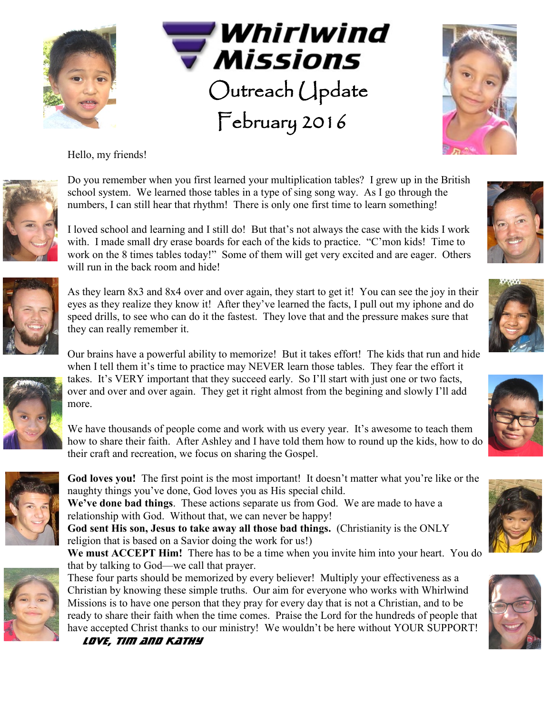



Hello, my friends!



Do you remember when you first learned your multiplication tables? I grew up in the British school system. We learned those tables in a type of sing song way. As I go through the numbers, I can still hear that rhythm! There is only one first time to learn something!

I loved school and learning and I still do! But that's not always the case with the kids I work with. I made small dry erase boards for each of the kids to practice. "C'mon kids! Time to work on the 8 times tables today!" Some of them will get very excited and are eager. Others will run in the back room and hide!



Our brains have a powerful ability to memorize! But it takes effort! The kids that run and hide when I tell them it's time to practice may NEVER learn those tables. They fear the effort it



We have thousands of people come and work with us every year. It's awesome to teach them how to share their faith. After Ashley and I have told them how to round up the kids, how to do their craft and recreation, we focus on sharing the Gospel.



**God loves you!** The first point is the most important! It doesn't matter what you're like or the naughty things you've done, God loves you as His special child.

**We've done bad things**. These actions separate us from God. We are made to have a relationship with God. Without that, we can never be happy!

**God sent His son, Jesus to take away all those bad things.** (Christianity is the ONLY religion that is based on a Savior doing the work for us!)

**We must ACCEPT Him!** There has to be a time when you invite him into your heart. You do that by talking to God—we call that prayer.



These four parts should be memorized by every believer! Multiply your effectiveness as a Christian by knowing these simple truths. Our aim for everyone who works with Whirlwind Missions is to have one person that they pray for every day that is not a Christian, and to be ready to share their faith when the time comes. Praise the Lord for the hundreds of people that have accepted Christ thanks to our ministry! We wouldn't be here without YOUR SUPPORT!

*LOVE, Tim and Kathy*